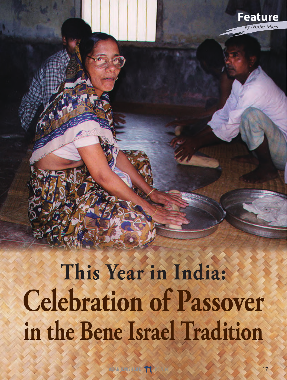## **This Year in India: Celebration of Passover in the Bene Israel Tradition**

**Feature** *by Nissim Moses*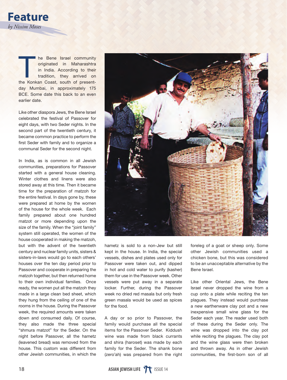

The Bene Israel community<br>originated in Maharashtra<br>in India. According to their<br>tradition, they arrived on<br>the Konkan Coast, south of presentoriginated in Maharashtra in India. According to their tradition, they arrived on the Konkan Coast, south of presentday Mumbai, in approximately 175 BCE. Some date this back to an even earlier date.

Like other diaspora Jews, the Bene Israel celebrated the festival of Passover for eight days, with two Seder nights. In the second part of the twentieth century, it became common practice to perform the first Seder with family and to organize a communal Seder for the second night.

In India, as is common in all Jewish communities, preparations for Passover started with a general house cleaning. Winter clothes and linens were also stored away at this time. Then it became time for the preparation of matzoh for the entire festival. In days gone by, these were prepared at home by the women of the house for the whole week. Each family prepared about one hundred matzot or more depending upon the size of the family. When the "joint family" system still operated, the women of the house cooperated in making the matzoh, but with the advent of the twentieth century and nuclear family units, sisters & sisters-in-laws would go to each others' houses over the ten day period prior to Passover and cooperate in preparing the matzoh together, but then returned home to their own individual families. Once ready, the women put all the matzoh they made in a large clean bed sheet, which they hung from the ceiling of one of the rooms in the house. During the Passover week, the required amounts were taken down and consumed daily. Of course, they also made the three special "shmura matzot" for the Seder. On the night before Passover, all the hametz (leavened bread) was removed from the house. This custom was different from other Jewish communities, in which the



hametz is sold to a non-Jew but still kept in the house. In India, the special vessels, dishes and plates used only for Passover were taken out, and dipped in hot and cold water to purify (kasher) them for use in the Passover week. Other vessels were put away in a separate locker. Further, during the Passover week no dried red masala but only fresh green masala would be used as spices for the food.

A day or so prior to Passover, the family would purchase all the special items for the Passover Seder. Kiddush wine was made from black currants and shira (haroset) was made by each family for the Seder. The shank bone (zero'ah) was prepared from the right

foreleg of a goat or sheep only. Some other Jewish communities used a chicken bone, but this was considered to be an unacceptable alternative by the Bene Israel.

Like other Oriental Jews, the Bene Israel never dropped the wine from a cup onto a plate while reciting the ten plagues. They instead would purchase a new earthenware clay pot and a new inexpensive small wine glass for the Seder each year. The reader used both of these during the Seder only. The wine was dropped into the clay pot while reciting the plagues. The clay pot and the wine glass were then broken and thrown away. As in other Jewish communities, the first-born son of all